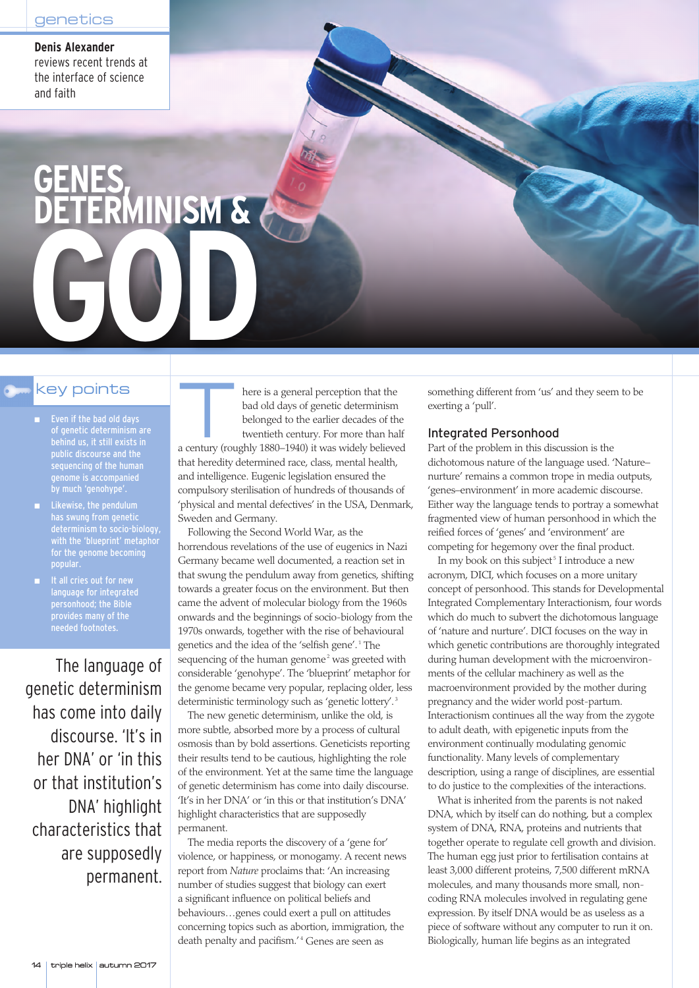**Denis Alexander** reviews recent trends at the interface of science and faith

# **GENES, DETERMINISM &**

- Even if the bad old days of genetic determinism are behind us, it still exists in public discourse and the sequencing of the human genome is accompanied by much 'genohype'.
- Likewise, the pendulum has swung from genetic determinism to socio-biology, with the 'blueprint' metaphor for the genome becoming popular.
- It all cries out for new language for integrated personhood; the Bible provides many of the needed footnotes.

The language of genetic determinism has come into daily discourse. 'It's in her DNA' or 'in this or that institution's DNA' highlight characteristics that are supposedly permanent.

key points<br>
I kee is a general perception that the<br>
bad old days of genetic determinism<br>
of genetic determinism are<br>
there is a general perception that the<br>
bad old days of genetic determinism<br>
belonged to the earlier deca bad old days of genetic determinism belonged to the earlier decades of the twentieth century. For more than half a century (roughly 1880–1940) it was widely believed that heredity determined race, class, mental health, and intelligence. Eugenic legislation ensured the compulsory sterilisation of hundreds of thousands of 'physical and mental defectives' in the USA, Denmark, Sweden and Germany.

> Following the Second World War, as the horrendous revelations of the use of eugenics in Nazi Germany became well documented, a reaction set in that swung the pendulum away from genetics, shifting towards a greater focus on the environment. But then came the advent of molecular biology from the 1960s onwards and the beginnings of socio-biology from the 1970s onwards, together with the rise of behavioural genetics and the idea of the 'selfish gene'.<sup>1</sup> The sequencing of the human genome<sup>2</sup> was greeted with considerable 'genohype'. The 'blueprint' metaphor for the genome became very popular, replacing older, less deterministic terminology such as 'genetic lottery'.<sup>3</sup>

> The new genetic determinism, unlike the old, is more subtle, absorbed more by a process of cultural osmosis than by bold assertions. Geneticists reporting their results tend to be cautious, highlighting the role of the environment. Yet at the same time the language of genetic determinism has come into daily discourse. 'It's in her DNA' or 'in this or that institution's DNA' highlight characteristics that are supposedly permanent.

The media reports the discovery of a 'gene for' violence, or happiness, or monogamy. A recent news report from *Nature* proclaims that: 'An increasing number of studies suggest that biology can exert a significant influence on political beliefs and behaviours…genes could exert a pull on attitudes concerning topics such as abortion, immigration, the death penalty and pacifism.'<sup>4</sup> Genes are seen as

something different from 'us' and they seem to be exerting a 'pull'.

## Integrated Personhood

Part of the problem in this discussion is the dichotomous nature of the language used. 'Nature– nurture' remains a common trope in media outputs, 'genes–environment' in more academic discourse. Either way the language tends to portray a somewhat fragmented view of human personhood in which the reified forces of 'genes' and 'environment' are competing for hegemony over the final product.

In my book on this subject<sup>5</sup> I introduce a new acronym, DICI, which focuses on a more unitary concept of personhood. This stands for Developmental Integrated Complementary Interactionism, four words which do much to subvert the dichotomous language of 'nature and nurture'. DICI focuses on the way in which genetic contributions are thoroughly integrated during human development with the microenvironments of the cellular machinery as well as the macroenvironment provided by the mother during pregnancy and the wider world post-partum. Interactionism continues all the way from the zygote to adult death, with epigenetic inputs from the environment continually modulating genomic functionality. Many levels of complementary description, using a range of disciplines, are essential to do justice to the complexities of the interactions.

What is inherited from the parents is not naked DNA, which by itself can do nothing, but a complex system of DNA, RNA, proteins and nutrients that together operate to regulate cell growth and division. The human egg just prior to fertilisation contains at least 3,000 different proteins, 7,500 different mRNA molecules, and many thousands more small, noncoding RNA molecules involved in regulating gene expression. By itself DNA would be as useless as a piece of software without any computer to run it on. Biologically, human life begins as an integrated